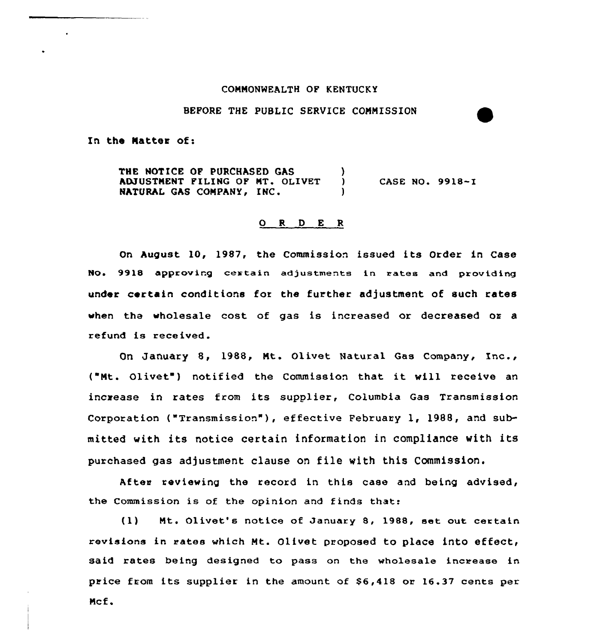#### CONNONWEALTH OF KENTUCKY

## BEFORE THE PUBLIC SERVICE CONNISSION

In the Natter of:

THE NOTICE OF PURCHASED GAS (3) ADJUSTMENT FILING OF MT. OLIVET NATURAL GAS COMPANY, INC. CASE NO. 9918-I

#### 0 <sup>R</sup> <sup>D</sup> <sup>E</sup> <sup>R</sup>

On August 10, 1987, the Commission issued its Order in Case NO~ 9918 approving ceatain adjustments in rates and providing under certain conditions for the further adjustment of such rates when the wholesale cost of gas is increased or decreased or a refund is received.

On January 8, 1988, Nt. Olivet Natural Gas Company, Inc., ("Nt. Olivet ) notified the Commission that it will receive an increase in rates from its supplier, Columbia Gas Transmission Corporation ("Transmission"), effective February 1, 1988, and submitted with its notice certain information in compliance with its purchased gas adjustment clause on file with this Commission.

After reviewing the record in this case and being advised, the Commission is of the opinion and finds that:

(1) Mt. Olivet's notice of January 8, 1988, set out certain revisions in rates which Nt. Olivet proposed to place into effect, said rates being designed to pass on the wholesale increase in price from its supplier in the amount of \$6,418 oz 16.37 cents per Ncf.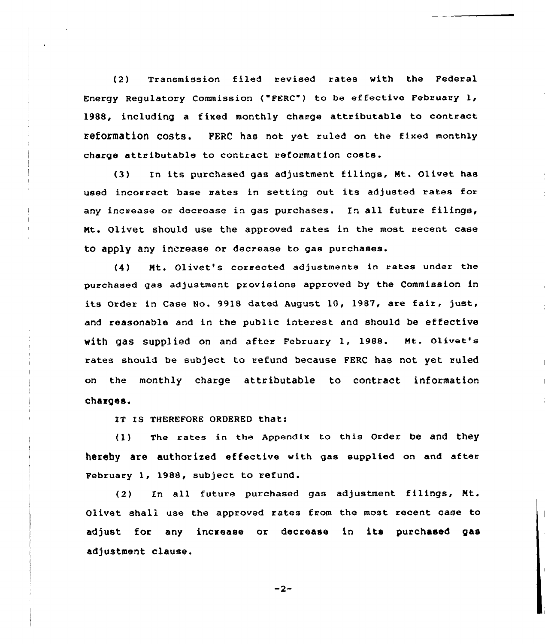(2) Transmission filed revised rates with the Federal Energy Regulatory Commission ("FERC") to be effective February 1, 1988, including a fixed monthly charge attributable to contract refOrmatiOn COStS. PERL has not yet ruled on the fixed monthly chaxge attributable to contract reformation costs.

(3) In its purchased gas adjustment filings, Nt. Olivet has used incorrect base mates in setting out its adjusted rates for any increase or decrease in gas purchases. In all future filings, Nt. Olivet should use the approved rates in the most recent case to apply any increase or decrease to gas purchases.

(4) Nt. Olivet's corrected adjustments in rates under the purchased gas adjustment provisions approved by the Commission in its Order in Case No. 9918 dated August 10, 1987, are fair, just, and reasonable and in the public interest and should be effective with gas supplied on and after February 1, 1988. Nt. olivet'e rates should be subject to refund because FERC has not yet ruled on the monthly charge attributable to contract information charges.

IT IS THEREFORE ORDERED thati

(1) The rates in the Appendix to this order be and they hereby are authorized effective with gas supplied on and after Pebruary 1, 1988, subject to refund.

(2) In all future purchased gas adjustment filings, Nt. Olivet shall use the approved rates from the most recent case to adjust for any incxease or decrease in its purchased gas adjustment clause.

 $-2-$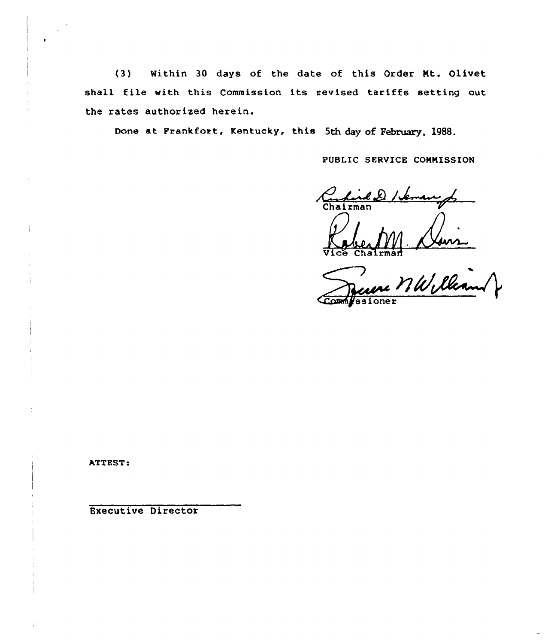$(3)$ Within 30 days of the date of this Order Mt. Olivet shall file with this Commission its revised tariffs setting out the rates authorized herein.

Done at Frankfort, Kentucky, this 5th day of February, 1988.

PUBLIC SERVICE COMMISSION

Chairman Chalrman

Terena MW lleand ssioner

ATTEST:

**Executive Director**